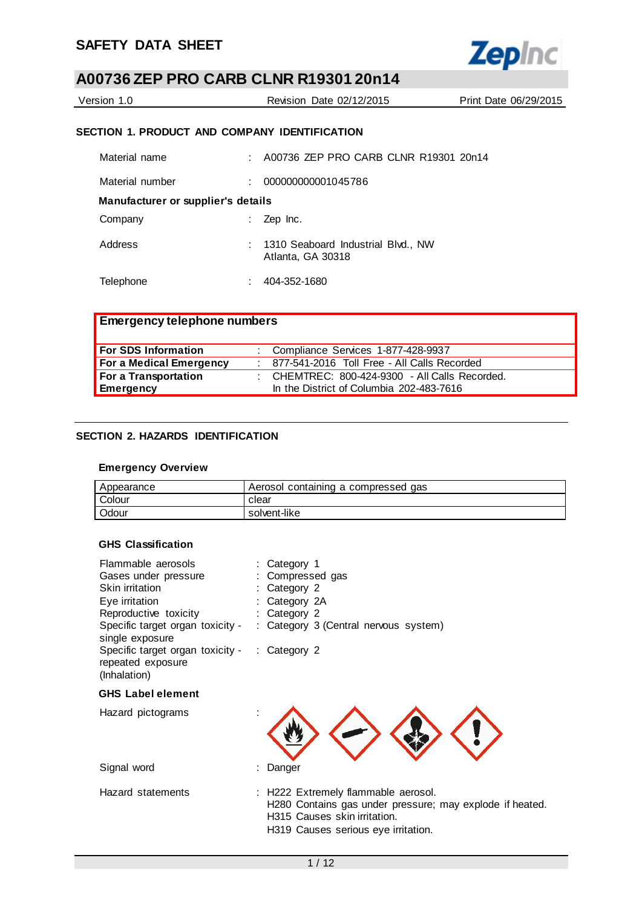

| Version 1.0 | Revision Date 02/12/2015 | Print Date 06/29/2015 |
|-------------|--------------------------|-----------------------|
|             |                          |                       |

## **SECTION 1. PRODUCT AND COMPANY IDENTIFICATION**

| Material name                      | A00736 ZEP PRO CARB CLNR R19301 20n14                   |
|------------------------------------|---------------------------------------------------------|
| Material number                    | 000000000001045786                                      |
| Manufacturer or supplier's details |                                                         |
| Company                            | Zep Inc.                                                |
| Address                            | 1310 Seaboard Industrial Blvd., NW<br>Atlanta, GA 30318 |
| Telephone                          | 404-352-1680                                            |

| <b>Emergency telephone numbers</b> |                                                  |
|------------------------------------|--------------------------------------------------|
| <b>For SDS Information</b>         | : Compliance Services 1-877-428-9937             |
| <b>For a Medical Emergency</b>     | : 877-541-2016 Toll Free - All Calls Recorded    |
| For a Transportation               | : CHEMTREC: $800-424-9300$ - All Calls Recorded. |
| Emergency                          | In the District of Columbia 202-483-7616         |

## **SECTION 2. HAZARDS IDENTIFICATION**

### **Emergency Overview**

| Appearance | Aerosol containing a compressed gas |
|------------|-------------------------------------|
| Colour     | clear                               |
| Odour      | solvent-like                        |

## **GHS Classification**

| Flammable aerosols                                                                 | : Category 1                                                                                                                    |
|------------------------------------------------------------------------------------|---------------------------------------------------------------------------------------------------------------------------------|
| Gases under pressure                                                               | : Compressed gas                                                                                                                |
| Skin irritation                                                                    | Category 2                                                                                                                      |
| Eye irritation                                                                     | Category 2A                                                                                                                     |
| Reproductive toxicity                                                              | Category 2                                                                                                                      |
| Specific target organ toxicity -<br>single exposure                                | : Category 3 (Central nervous system)                                                                                           |
| Specific target organ toxicity - : Category 2<br>repeated exposure<br>(Inhalation) |                                                                                                                                 |
| <b>GHS Label element</b>                                                           |                                                                                                                                 |
| Hazard pictograms                                                                  |                                                                                                                                 |
| Signal word                                                                        | Danger                                                                                                                          |
| Hazard statements                                                                  | : H222 Extremely flammable aerosol.<br>H280 Contains gas under pressure; may explode if heated.<br>H315 Causes skin irritation. |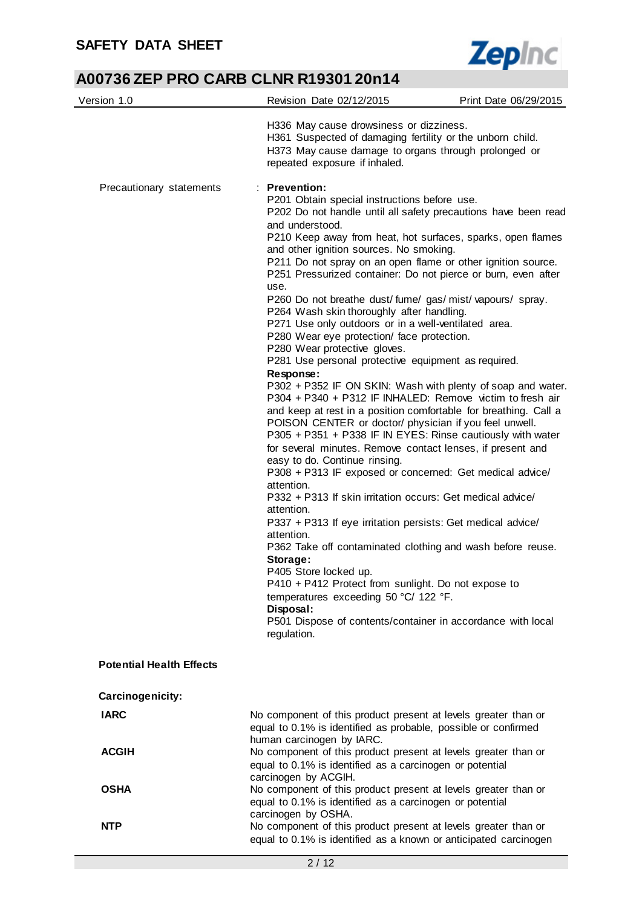

| Version 1.0                     | Revision Date 02/12/2015                                                                                                                                                                                                                                                                                                                                                                                                                                                                                                                                                                                                                                                                                                                                                                                                                                                                                                                                                                                                                                                                                                                                                                                                                                                                                                                                                                                                                                                                                                                                                                                                                                                        | Print Date 06/29/2015 |
|---------------------------------|---------------------------------------------------------------------------------------------------------------------------------------------------------------------------------------------------------------------------------------------------------------------------------------------------------------------------------------------------------------------------------------------------------------------------------------------------------------------------------------------------------------------------------------------------------------------------------------------------------------------------------------------------------------------------------------------------------------------------------------------------------------------------------------------------------------------------------------------------------------------------------------------------------------------------------------------------------------------------------------------------------------------------------------------------------------------------------------------------------------------------------------------------------------------------------------------------------------------------------------------------------------------------------------------------------------------------------------------------------------------------------------------------------------------------------------------------------------------------------------------------------------------------------------------------------------------------------------------------------------------------------------------------------------------------------|-----------------------|
|                                 | H336 May cause drowsiness or dizziness.<br>H361 Suspected of damaging fertility or the unborn child.<br>H373 May cause damage to organs through prolonged or<br>repeated exposure if inhaled.                                                                                                                                                                                                                                                                                                                                                                                                                                                                                                                                                                                                                                                                                                                                                                                                                                                                                                                                                                                                                                                                                                                                                                                                                                                                                                                                                                                                                                                                                   |                       |
| Precautionary statements        | $:$ Prevention:<br>P201 Obtain special instructions before use.<br>P202 Do not handle until all safety precautions have been read<br>and understood.<br>P210 Keep away from heat, hot surfaces, sparks, open flames<br>and other ignition sources. No smoking.<br>P211 Do not spray on an open flame or other ignition source.<br>P251 Pressurized container: Do not pierce or burn, even after<br>use.<br>P260 Do not breathe dust/fume/gas/mist/vapours/spray.<br>P264 Wash skin thoroughly after handling.<br>P271 Use only outdoors or in a well-ventilated area.<br>P280 Wear eye protection/ face protection.<br>P280 Wear protective gloves.<br>P281 Use personal protective equipment as required.<br>Response:<br>P302 + P352 IF ON SKIN: Wash with plenty of soap and water.<br>P304 + P340 + P312 IF INHALED: Remove victim to fresh air<br>and keep at rest in a position comfortable for breathing. Call a<br>POISON CENTER or doctor/ physician if you feel unwell.<br>P305 + P351 + P338 IF IN EYES: Rinse cautiously with water<br>for several minutes. Remove contact lenses, if present and<br>easy to do. Continue rinsing.<br>P308 + P313 IF exposed or concerned: Get medical advice/<br>attention.<br>P332 + P313 If skin irritation occurs: Get medical advice/<br>attention.<br>P337 + P313 If eye irritation persists: Get medical advice/<br>attention.<br>P362 Take off contaminated clothing and wash before reuse.<br>Storage:<br>P405 Store locked up.<br>P410 + P412 Protect from sunlight. Do not expose to<br>temperatures exceeding 50 °C/ 122 °F.<br>Disposal:<br>P501 Dispose of contents/container in accordance with local<br>regulation. |                       |
| <b>Potential Health Effects</b> |                                                                                                                                                                                                                                                                                                                                                                                                                                                                                                                                                                                                                                                                                                                                                                                                                                                                                                                                                                                                                                                                                                                                                                                                                                                                                                                                                                                                                                                                                                                                                                                                                                                                                 |                       |
| Carcinogenicity:                |                                                                                                                                                                                                                                                                                                                                                                                                                                                                                                                                                                                                                                                                                                                                                                                                                                                                                                                                                                                                                                                                                                                                                                                                                                                                                                                                                                                                                                                                                                                                                                                                                                                                                 |                       |
| <b>IARC</b>                     | No component of this product present at levels greater than or<br>equal to 0.1% is identified as probable, possible or confirmed<br>human carcinogen by IARC.                                                                                                                                                                                                                                                                                                                                                                                                                                                                                                                                                                                                                                                                                                                                                                                                                                                                                                                                                                                                                                                                                                                                                                                                                                                                                                                                                                                                                                                                                                                   |                       |
| <b>ACGIH</b>                    | No component of this product present at levels greater than or<br>equal to 0.1% is identified as a carcinogen or potential                                                                                                                                                                                                                                                                                                                                                                                                                                                                                                                                                                                                                                                                                                                                                                                                                                                                                                                                                                                                                                                                                                                                                                                                                                                                                                                                                                                                                                                                                                                                                      |                       |
| <b>OSHA</b>                     | carcinogen by ACGIH.<br>No component of this product present at levels greater than or<br>equal to 0.1% is identified as a carcinogen or potential                                                                                                                                                                                                                                                                                                                                                                                                                                                                                                                                                                                                                                                                                                                                                                                                                                                                                                                                                                                                                                                                                                                                                                                                                                                                                                                                                                                                                                                                                                                              |                       |
| <b>NTP</b>                      | carcinogen by OSHA.<br>No component of this product present at levels greater than or<br>equal to 0.1% is identified as a known or anticipated carcinogen                                                                                                                                                                                                                                                                                                                                                                                                                                                                                                                                                                                                                                                                                                                                                                                                                                                                                                                                                                                                                                                                                                                                                                                                                                                                                                                                                                                                                                                                                                                       |                       |
|                                 | 2/12                                                                                                                                                                                                                                                                                                                                                                                                                                                                                                                                                                                                                                                                                                                                                                                                                                                                                                                                                                                                                                                                                                                                                                                                                                                                                                                                                                                                                                                                                                                                                                                                                                                                            |                       |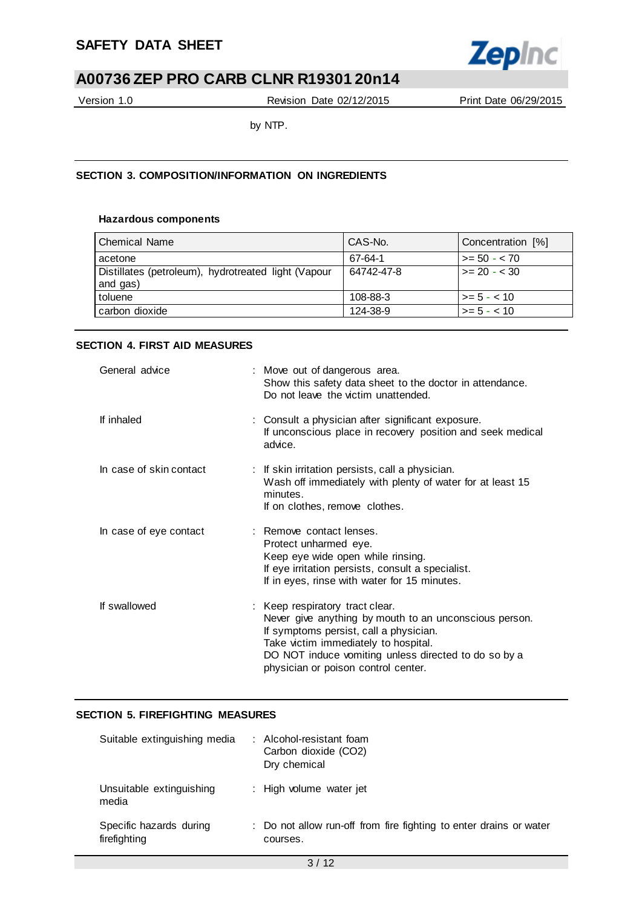

Version 1.0 Revision Date 02/12/2015 Print Date 06/29/2015

by NTP.

## **SECTION 3. COMPOSITION/INFORMATION ON INGREDIENTS**

## **Hazardous components**

| <b>Chemical Name</b>                                            | CAS-No.    | Concentration [%]    |
|-----------------------------------------------------------------|------------|----------------------|
| acetone                                                         | 67-64-1    | $>= 50 - 70$         |
| Distillates (petroleum), hydrotreated light (Vapour<br>and gas) | 64742-47-8 | $\vert$ >= 20 - < 30 |
| toluene                                                         | 108-88-3   | $1 > 5 - 5 - 10$     |
| carbon dioxide                                                  | 124-38-9   | $>= 5 - < 10$        |

## **SECTION 4. FIRST AID MEASURES**

| General advice          | : Move out of dangerous area.<br>Show this safety data sheet to the doctor in attendance.<br>Do not leave the victim unattended.                                                                                                                                           |
|-------------------------|----------------------------------------------------------------------------------------------------------------------------------------------------------------------------------------------------------------------------------------------------------------------------|
| If inhaled              | : Consult a physician after significant exposure.<br>If unconscious place in recovery position and seek medical<br>advice.                                                                                                                                                 |
| In case of skin contact | : If skin irritation persists, call a physician.<br>Wash off immediately with plenty of water for at least 15<br>minutes.<br>If on clothes, remove clothes.                                                                                                                |
| In case of eye contact  | : Remove contact lenses.<br>Protect unharmed eye.<br>Keep eye wide open while rinsing.<br>If eye irritation persists, consult a specialist.<br>If in eyes, rinse with water for 15 minutes.                                                                                |
| If swallowed            | : Keep respiratory tract clear.<br>Never give anything by mouth to an unconscious person.<br>If symptoms persist, call a physician.<br>Take victim immediately to hospital.<br>DO NOT induce vomiting unless directed to do so by a<br>physician or poison control center. |

## **SECTION 5. FIREFIGHTING MEASURES**

| Suitable extinguishing media            | : Alcohol-resistant foam<br>Carbon dioxide (CO2)<br>Dry chemical               |
|-----------------------------------------|--------------------------------------------------------------------------------|
| Unsuitable extinguishing<br>media       | : High volume water jet                                                        |
| Specific hazards during<br>firefighting | : Do not allow run-off from fire fighting to enter drains or water<br>courses. |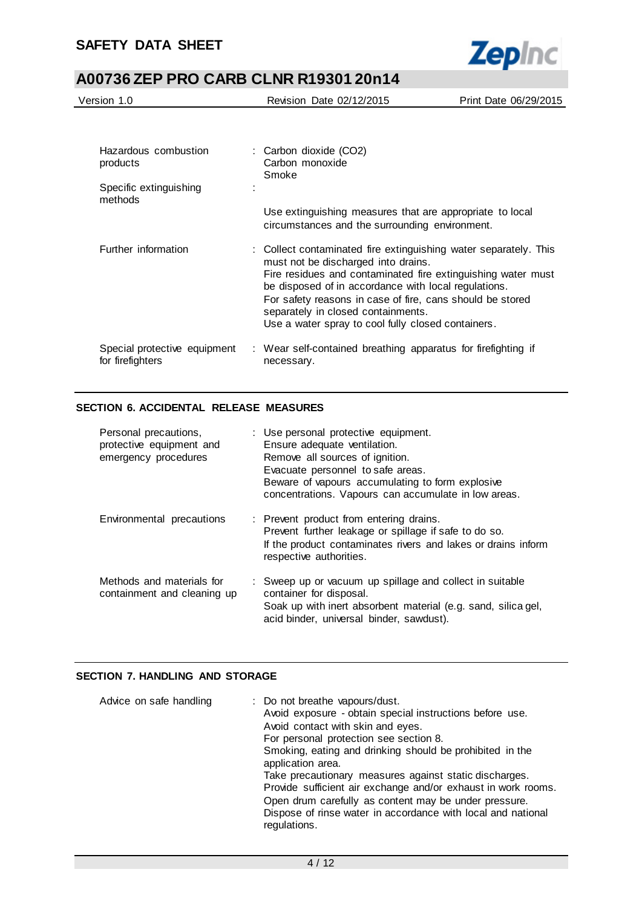

| Version 1.0                      | Revision Date 02/12/2015                  | Print Date 06/29/2015 |
|----------------------------------|-------------------------------------------|-----------------------|
|                                  |                                           |                       |
|                                  |                                           |                       |
| Hazardous combustion<br>products | : Carbon dioxide (CO2)<br>Carbon monoxide |                       |

|                                                  | Smoke                                                                                                                                                                                                         |
|--------------------------------------------------|---------------------------------------------------------------------------------------------------------------------------------------------------------------------------------------------------------------|
| Specific extinguishing<br>methods                |                                                                                                                                                                                                               |
|                                                  | Use extinguishing measures that are appropriate to local<br>circumstances and the surrounding environment.                                                                                                    |
| Further information                              | : Collect contaminated fire extinguishing water separately. This<br>must not be discharged into drains.<br>Fire residues and contaminated fire extinguishing water must                                       |
|                                                  | be disposed of in accordance with local regulations.<br>For safety reasons in case of fire, cans should be stored<br>separately in closed containments.<br>Use a water spray to cool fully closed containers. |
|                                                  |                                                                                                                                                                                                               |
| Special protective equipment<br>for firefighters | : Wear self-contained breathing apparatus for firefighting if<br>necessary.                                                                                                                                   |

## **SECTION 6. ACCIDENTAL RELEASE MEASURES**

| Personal precautions,<br>protective equipment and<br>emergency procedures | : Use personal protective equipment.<br>Ensure adequate ventilation.<br>Remove all sources of ignition.<br>Evacuate personnel to safe areas.<br>Beware of vapours accumulating to form explosive<br>concentrations. Vapours can accumulate in low areas. |
|---------------------------------------------------------------------------|----------------------------------------------------------------------------------------------------------------------------------------------------------------------------------------------------------------------------------------------------------|
| Environmental precautions                                                 | : Prevent product from entering drains.<br>Prevent further leakage or spillage if safe to do so.<br>If the product contaminates rivers and lakes or drains inform<br>respective authorities.                                                             |
| Methods and materials for<br>containment and cleaning up                  | : Sweep up or vacuum up spillage and collect in suitable<br>container for disposal.<br>Soak up with inert absorbent material (e.g. sand, silica gel,<br>acid binder, universal binder, sawdust).                                                         |

## **SECTION 7. HANDLING AND STORAGE**

| Advice on safe handling | : Do not breathe vapours/dust.<br>Avoid exposure - obtain special instructions before use.<br>Avoid contact with skin and eyes.<br>For personal protection see section 8.<br>Smoking, eating and drinking should be prohibited in the<br>application area.<br>Take precautionary measures against static discharges.<br>Provide sufficient air exchange and/or exhaust in work rooms.<br>Open drum carefully as content may be under pressure.<br>Dispose of rinse water in accordance with local and national |
|-------------------------|----------------------------------------------------------------------------------------------------------------------------------------------------------------------------------------------------------------------------------------------------------------------------------------------------------------------------------------------------------------------------------------------------------------------------------------------------------------------------------------------------------------|
|                         | regulations.                                                                                                                                                                                                                                                                                                                                                                                                                                                                                                   |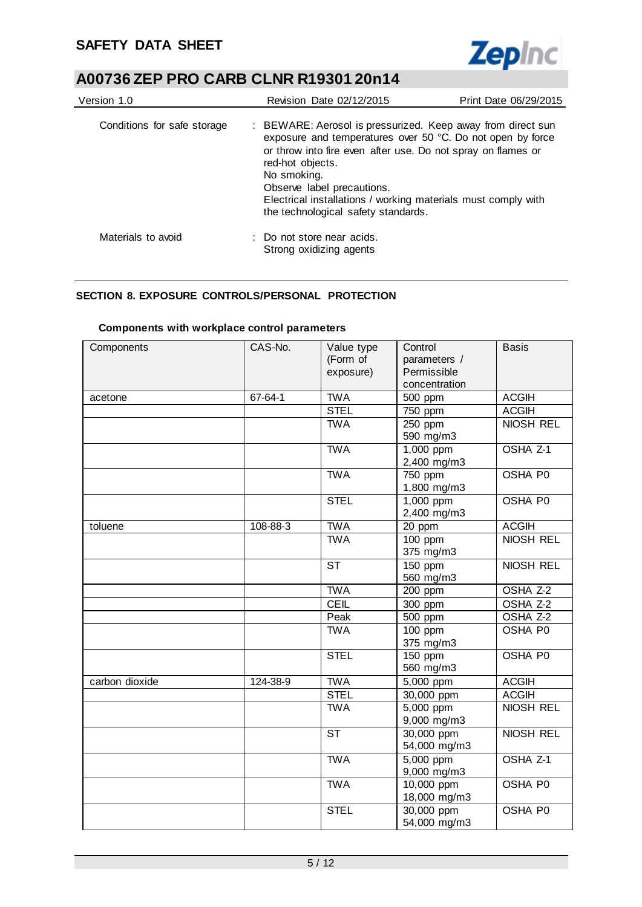

| Version 1.0                 | Revision Date 02/12/2015                                                                             | Print Date 06/29/2015                                                                                                                                                                                                                                      |  |  |
|-----------------------------|------------------------------------------------------------------------------------------------------|------------------------------------------------------------------------------------------------------------------------------------------------------------------------------------------------------------------------------------------------------------|--|--|
| Conditions for safe storage | red-hot objects.<br>No smoking.<br>Observe label precautions.<br>the technological safety standards. | : BEWARE: Aerosol is pressurized. Keep away from direct sun<br>exposure and temperatures over 50 °C. Do not open by force<br>or throw into fire even after use. Do not spray on flames or<br>Electrical installations / working materials must comply with |  |  |
| Materials to avoid          | : Do not store near acids.<br>Strong oxidizing agents                                                |                                                                                                                                                                                                                                                            |  |  |

## **SECTION 8. EXPOSURE CONTROLS/PERSONAL PROTECTION**

| Components     | CAS-No.  | Value type<br>(Form of<br>exposure) | Control<br>parameters /<br>Permissible<br>concentration | <b>Basis</b>        |
|----------------|----------|-------------------------------------|---------------------------------------------------------|---------------------|
| acetone        | 67-64-1  | <b>TWA</b>                          | 500 ppm                                                 | <b>ACGIH</b>        |
|                |          | <b>STEL</b>                         | 750 ppm                                                 | <b>ACGIH</b>        |
|                |          | <b>TWA</b>                          | 250 ppm<br>590 mg/m3                                    | <b>NIOSH REL</b>    |
|                |          | <b>TWA</b>                          | 1,000 ppm<br>2,400 mg/m3                                | OSHA <sub>Z-1</sub> |
|                |          | <b>TWA</b>                          | $\overline{750}$ ppm<br>1,800 mg/m3                     | <b>OSHA P0</b>      |
|                |          | <b>STEL</b>                         | $1,000$ ppm<br>2,400 mg/m3                              | OSHA P0             |
| toluene        | 108-88-3 | <b>TWA</b>                          | 20 ppm                                                  | <b>ACGIH</b>        |
|                |          | <b>TWA</b>                          | $100$ ppm<br>375 mg/m3                                  | <b>NIOSH REL</b>    |
|                |          | <b>ST</b>                           | 150 ppm<br>560 mg/m3                                    | NIOSH REL           |
|                |          | <b>TWA</b>                          | $200$ ppm                                               | OSHA Z-2            |
|                |          | <b>CEIL</b>                         | 300 ppm                                                 | OSHA Z-2            |
|                |          | Peak                                | 500 ppm                                                 | OSHA Z-2            |
|                |          | <b>TWA</b>                          | 100 ppm<br>375 mg/m3                                    | <b>OSHA P0</b>      |
|                |          | <b>STEL</b>                         | $150$ ppm<br>560 mg/m3                                  | <b>OSHA P0</b>      |
| carbon dioxide | 124-38-9 | <b>TWA</b>                          | 5,000 ppm                                               | <b>ACGIH</b>        |
|                |          | <b>STEL</b>                         | 30,000 ppm                                              | <b>ACGIH</b>        |
|                |          | <b>TWA</b>                          | $5,000$ ppm<br>9,000 mg/m3                              | <b>NIOSH REL</b>    |
|                |          | $\overline{\text{ST}}$              | 30,000 ppm<br>54,000 mg/m3                              | <b>NIOSH REL</b>    |
|                |          | <b>TWA</b>                          | 5,000 ppm<br>9,000 mg/m3                                | OSHA <sub>Z-1</sub> |
|                |          | <b>TWA</b>                          | 10,000 ppm<br>18,000 mg/m3                              | OSHA P0             |
|                |          | <b>STEL</b>                         | 30,000 ppm<br>54,000 mg/m3                              | OSHA P0             |

### **Components with workplace control parameters**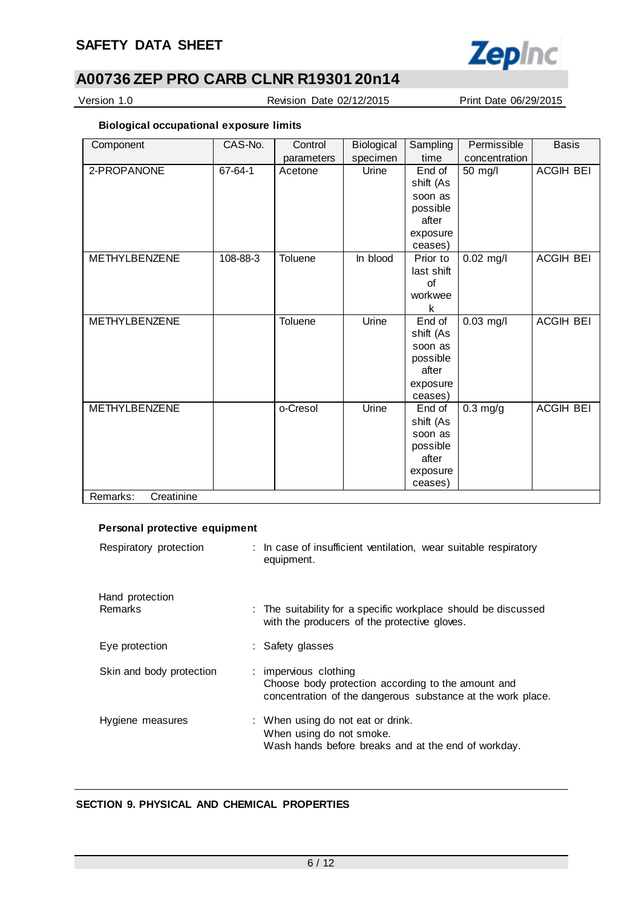

Version 1.0 Revision Date 02/12/2015 Print Date 06/29/2015

## **Biological occupational exposure limits**

| Component              | CAS-No.  | Control    | Biological | Sampling   | Permissible   | <b>Basis</b>     |
|------------------------|----------|------------|------------|------------|---------------|------------------|
|                        |          | parameters | specimen   | time       | concentration |                  |
| 2-PROPANONE            | 67-64-1  | Acetone    | Urine      | End of     | 50 mg/l       | ACGIH BEI        |
|                        |          |            |            | shift (As  |               |                  |
|                        |          |            |            | soon as    |               |                  |
|                        |          |            |            | possible   |               |                  |
|                        |          |            |            | after      |               |                  |
|                        |          |            |            | exposure   |               |                  |
|                        |          |            |            | ceases)    |               |                  |
| <b>METHYLBENZENE</b>   | 108-88-3 | Toluene    | In blood   | Prior to   | $0.02$ mg/l   | <b>ACGIH BEI</b> |
|                        |          |            |            | last shift |               |                  |
|                        |          |            |            | of         |               |                  |
|                        |          |            |            | workwee    |               |                  |
|                        |          |            |            | k          |               |                  |
| <b>METHYLBENZENE</b>   |          | Toluene    | Urine      | End of     | $0.03$ mg/l   | <b>ACGIH BEI</b> |
|                        |          |            |            | shift (As  |               |                  |
|                        |          |            |            | soon as    |               |                  |
|                        |          |            |            | possible   |               |                  |
|                        |          |            |            | after      |               |                  |
|                        |          |            |            | exposure   |               |                  |
|                        |          |            |            | ceases)    |               |                  |
| METHYLBENZENE          |          | o-Cresol   | Urine      | End of     | $0.3$ mg/g    | <b>ACGIH BEI</b> |
|                        |          |            |            | shift (As  |               |                  |
|                        |          |            |            | soon as    |               |                  |
|                        |          |            |            | possible   |               |                  |
|                        |          |            |            | after      |               |                  |
|                        |          |            |            | exposure   |               |                  |
|                        |          |            |            | ceases)    |               |                  |
| Remarks:<br>Creatinine |          |            |            |            |               |                  |

## **Personal protective equipment**

| Respiratory protection     | : In case of insufficient ventilation, wear suitable respiratory<br>equipment.                                                             |
|----------------------------|--------------------------------------------------------------------------------------------------------------------------------------------|
| Hand protection<br>Remarks | : The suitability for a specific workplace should be discussed<br>with the producers of the protective gloves.                             |
| Eye protection             | : Safety glasses                                                                                                                           |
| Skin and body protection   | : impervious clothing<br>Choose body protection according to the amount and<br>concentration of the dangerous substance at the work place. |
| Hygiene measures           | : When using do not eat or drink.<br>When using do not smoke.<br>Wash hands before breaks and at the end of workday.                       |

## **SECTION 9. PHYSICAL AND CHEMICAL PROPERTIES**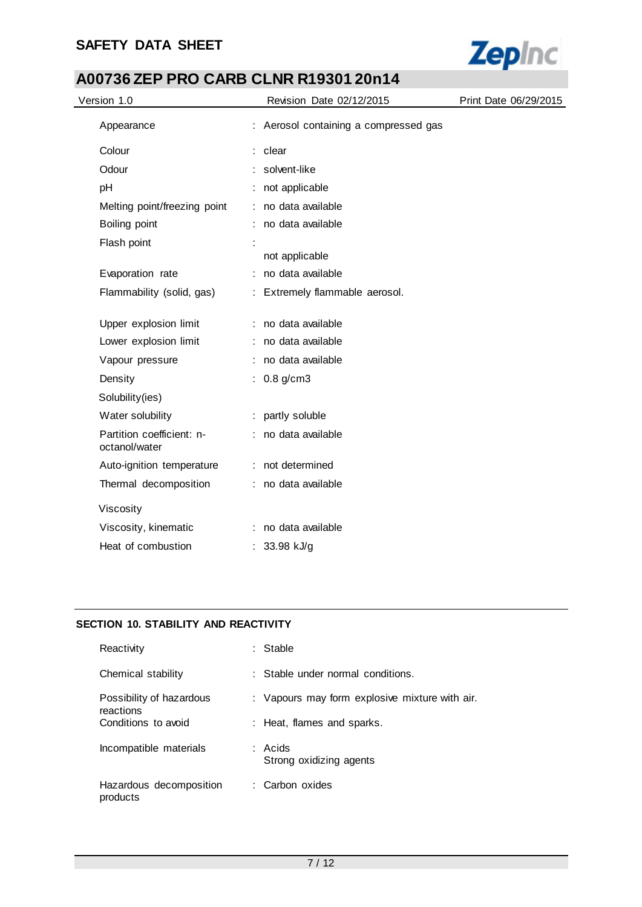# **SAFETY DATA SHEET**



# **A00736 ZEP PRO CARB CLNR R19301 20n14**

| Version 1.0                                | Revision Date 02/12/2015              | Print Date 06/29/2015 |
|--------------------------------------------|---------------------------------------|-----------------------|
| Appearance                                 | : Aerosol containing a compressed gas |                       |
| Colour                                     | : clear                               |                       |
| Odour                                      | solvent-like                          |                       |
| pH                                         | not applicable                        |                       |
| Melting point/freezing point               | no data available                     |                       |
| Boiling point                              | no data available                     |                       |
| Flash point                                |                                       |                       |
|                                            | not applicable                        |                       |
| Evaporation rate                           | : no data available                   |                       |
| Flammability (solid, gas)                  | : Extremely flammable aerosol.        |                       |
| Upper explosion limit                      | : no data available                   |                       |
| Lower explosion limit                      | : no data available                   |                       |
| Vapour pressure                            | : no data available                   |                       |
| Density                                    | : $0.8$ g/cm3                         |                       |
| Solubility(ies)                            |                                       |                       |
| Water solubility                           | : partly soluble                      |                       |
| Partition coefficient: n-<br>octanol/water | : no data available                   |                       |
| Auto-ignition temperature                  | : not determined                      |                       |
| Thermal decomposition                      | : no data available                   |                       |
| Viscosity                                  |                                       |                       |
| Viscosity, kinematic                       | : no data available                   |                       |
| Heat of combustion                         | : $33.98$ kJ/g                        |                       |

## **SECTION 10. STABILITY AND REACTIVITY**

| Reactivity                            | : Stable                                       |
|---------------------------------------|------------------------------------------------|
| Chemical stability                    | $\therefore$ Stable under normal conditions.   |
| Possibility of hazardous<br>reactions | : Vapours may form explosive mixture with air. |
| Conditions to avoid                   | : Heat, flames and sparks.                     |
| Incompatible materials                | : Acids<br>Strong oxidizing agents             |
| Hazardous decomposition<br>products   | : Carbon oxides                                |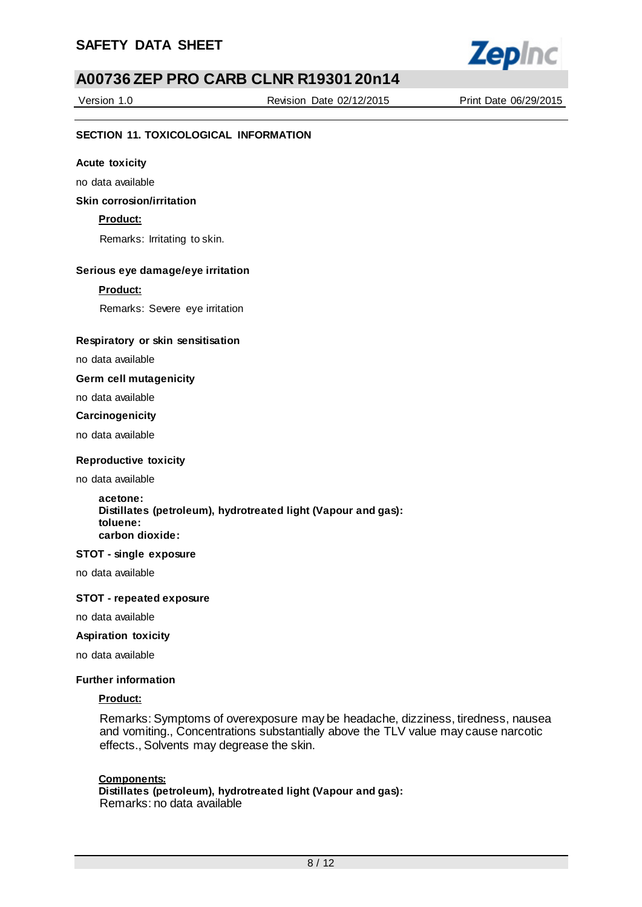

Version 1.0 Revision Date 02/12/2015 Print Date 06/29/2015

## **SECTION 11. TOXICOLOGICAL INFORMATION**

#### **Acute toxicity**

no data available

## **Skin corrosion/irritation**

### **Product:**

Remarks: Irritating to skin.

### **Serious eye damage/eye irritation**

#### **Product:**

Remarks: Severe eye irritation

#### **Respiratory or skin sensitisation**

no data available

#### **Germ cell mutagenicity**

no data available

#### **Carcinogenicity**

no data available

#### **Reproductive toxicity**

no data available

#### **acetone: Distillates (petroleum), hydrotreated light (Vapour and gas): toluene: carbon dioxide:**

#### **STOT - single exposure**

no data available

#### **STOT - repeated exposure**

no data available

#### **Aspiration toxicity**

no data available

#### **Further information**

#### **Product:**

Remarks: Symptoms of overexposure may be headache, dizziness, tiredness, nausea and vomiting., Concentrations substantially above the TLV value may cause narcotic effects., Solvents may degrease the skin.

#### **Components:**

**Distillates (petroleum), hydrotreated light (Vapour and gas):**  Remarks: no data available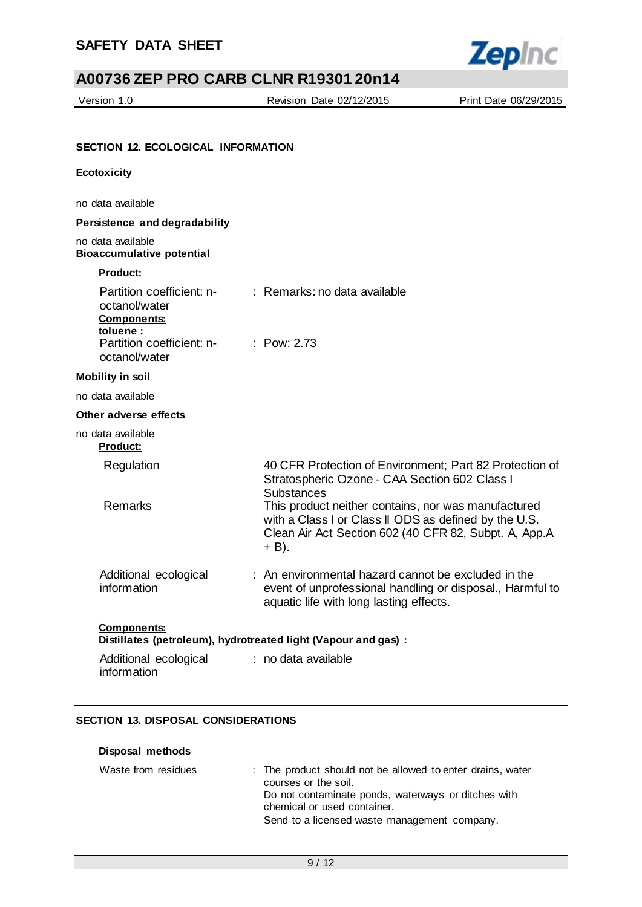

Version 1.0 Revision Date 02/12/2015 Print Date 06/29/2015

| Ecotoxicity                                                                                               |                                                                                                                                                                                   |
|-----------------------------------------------------------------------------------------------------------|-----------------------------------------------------------------------------------------------------------------------------------------------------------------------------------|
| no data available                                                                                         |                                                                                                                                                                                   |
| Persistence and degradability                                                                             |                                                                                                                                                                                   |
| no data available<br><b>Bioaccumulative potential</b>                                                     |                                                                                                                                                                                   |
| <b>Product:</b>                                                                                           |                                                                                                                                                                                   |
| Partition coefficient: n-<br>octanol/water<br><b>Components:</b><br>toluene:<br>Partition coefficient: n- | $:$ Remarks: no data available<br>: $Pow: 2.73$                                                                                                                                   |
| octanol/water                                                                                             |                                                                                                                                                                                   |
| <b>Mobility in soil</b>                                                                                   |                                                                                                                                                                                   |
| no data available                                                                                         |                                                                                                                                                                                   |
| Other adverse effects                                                                                     |                                                                                                                                                                                   |
| no data available<br><b>Product:</b>                                                                      |                                                                                                                                                                                   |
| Regulation                                                                                                | 40 CFR Protection of Environment; Part 82 Protection of<br>Stratospheric Ozone - CAA Section 602 Class I<br>Substances                                                            |
| Remarks                                                                                                   | This product neither contains, nor was manufactured<br>with a Class I or Class II ODS as defined by the U.S.<br>Clean Air Act Section 602 (40 CFR 82, Subpt. A, App.A<br>$+ B$ ). |
| Additional ecological<br>information                                                                      | : An environmental hazard cannot be excluded in the<br>event of unprofessional handling or disposal., Harmful to<br>aquatic life with long lasting effects.                       |
| <b>Components:</b><br>Distillates (petroleum), hydrotreated light (Vapour and gas) :                      |                                                                                                                                                                                   |
| Additional ecological<br>information                                                                      | : no data available                                                                                                                                                               |

## **SECTION 13. DISPOSAL CONSIDERATIONS**

#### **Disposal methods**

| Waste from residues | : The product should not be allowed to enter drains, water |
|---------------------|------------------------------------------------------------|
|                     | courses or the soil.                                       |
|                     | Do not contaminate ponds, waterways or ditches with        |
|                     | chemical or used container.                                |
|                     | Send to a licensed waste management company.               |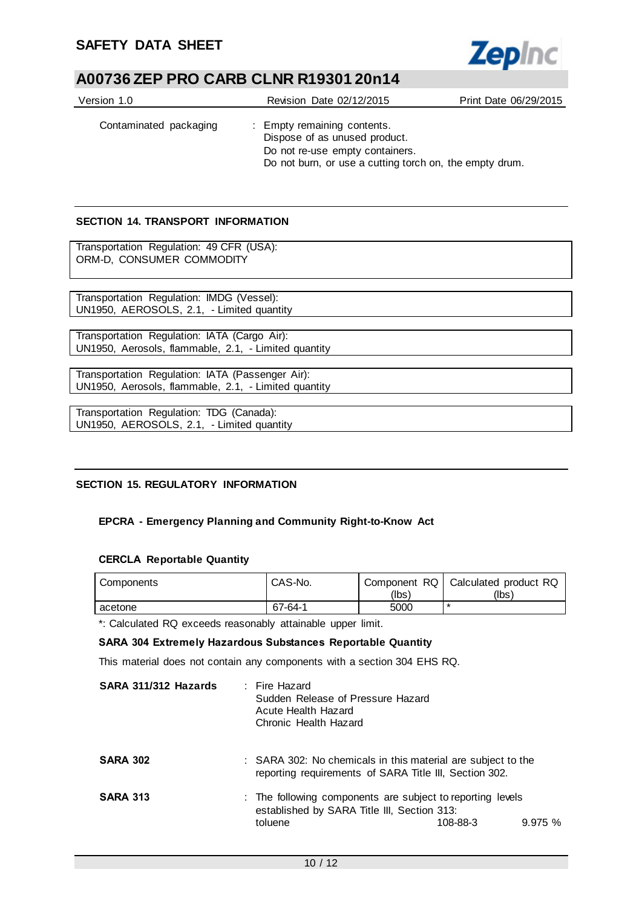

| Version 1.0            | Revision Date 02/12/2015                                                                                                                                   | Print Date 06/29/2015 |
|------------------------|------------------------------------------------------------------------------------------------------------------------------------------------------------|-----------------------|
| Contaminated packaging | : Empty remaining contents.<br>Dispose of as unused product.<br>Do not re-use empty containers.<br>Do not burn, or use a cutting torch on, the empty drum. |                       |

## **SECTION 14. TRANSPORT INFORMATION**

Transportation Regulation: 49 CFR (USA): ORM-D, CONSUMER COMMODITY

Transportation Regulation: IMDG (Vessel): UN1950, AEROSOLS, 2.1, - Limited quantity

Transportation Regulation: IATA (Cargo Air): UN1950, Aerosols, flammable, 2.1, - Limited quantity

Transportation Regulation: IATA (Passenger Air): UN1950, Aerosols, flammable, 2.1, - Limited quantity

Transportation Regulation: TDG (Canada): UN1950, AEROSOLS, 2.1, - Limited quantity

## **SECTION 15. REGULATORY INFORMATION**

## **EPCRA - Emergency Planning and Community Right-to-Know Act**

#### **CERCLA Reportable Quantity**

| Components | CAS-No. |       | Component RQ   Calculated product RQ |
|------------|---------|-------|--------------------------------------|
|            |         | (lbs) | (lbs)                                |
| acetone    | 67-64-1 | 5000  | ∗                                    |

\*: Calculated RQ exceeds reasonably attainable upper limit.

## **SARA 304 Extremely Hazardous Substances Reportable Quantity**

This material does not contain any components with a section 304 EHS RQ.

| SARA 311/312 Hazards | : Fire Hazard<br>Sudden Release of Pressure Hazard<br>Acute Health Hazard<br>Chronic Health Hazard                                         |  |  |
|----------------------|--------------------------------------------------------------------------------------------------------------------------------------------|--|--|
| <b>SARA 302</b>      | : SARA 302: No chemicals in this material are subject to the<br>reporting requirements of SARA Title III, Section 302.                     |  |  |
| <b>SARA 313</b>      | : The following components are subject to reporting levels<br>established by SARA Title III, Section 313:<br>toluene<br>108-88-3<br>9.975% |  |  |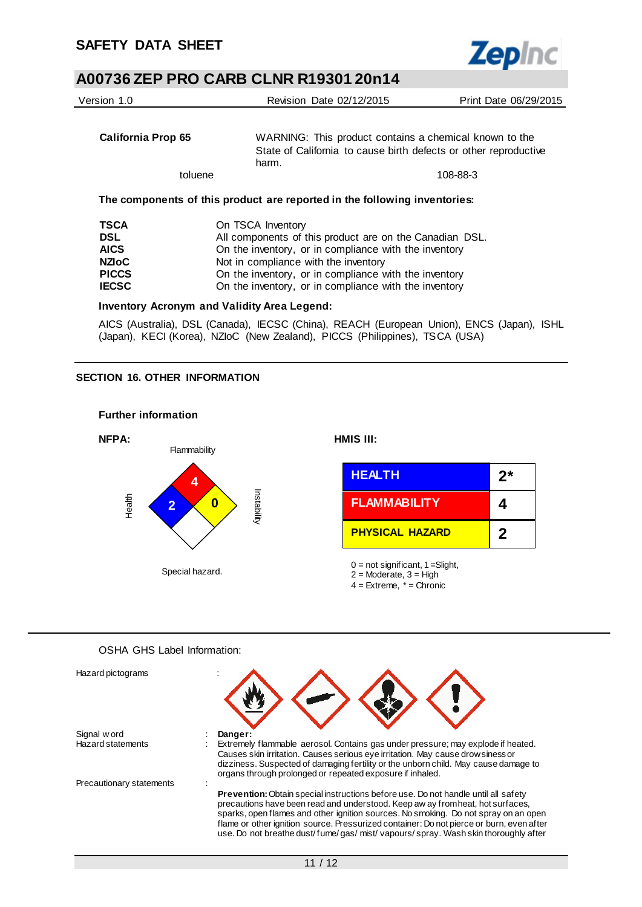

| Version 1.0                                                                              | Revision Date 02/12/2015                                                                                                                                                                                                                                                                        | Print Date 06/29/2015                                                                                                      |  |
|------------------------------------------------------------------------------------------|-------------------------------------------------------------------------------------------------------------------------------------------------------------------------------------------------------------------------------------------------------------------------------------------------|----------------------------------------------------------------------------------------------------------------------------|--|
| California Prop 65                                                                       | harm.                                                                                                                                                                                                                                                                                           | WARNING: This product contains a chemical known to the<br>State of California to cause birth defects or other reproductive |  |
| toluene                                                                                  |                                                                                                                                                                                                                                                                                                 | 108-88-3                                                                                                                   |  |
|                                                                                          | The components of this product are reported in the following inventories:                                                                                                                                                                                                                       |                                                                                                                            |  |
| <b>TSCA</b><br><b>DSL</b><br><b>AICS</b><br><b>NZIOC</b><br><b>PICCS</b><br><b>IECSC</b> | On TSCA Inventory<br>All components of this product are on the Canadian DSL.<br>On the inventory, or in compliance with the inventory<br>Not in compliance with the inventory<br>On the inventory, or in compliance with the inventory<br>On the inventory, or in compliance with the inventory |                                                                                                                            |  |
|                                                                                          | <b>Inventory Acronym and Validity Area Legend:</b>                                                                                                                                                                                                                                              |                                                                                                                            |  |

AICS (Australia), DSL (Canada), IECSC (China), REACH (European Union), ENCS (Japan), ISHL (Japan), KECI (Korea), NZIoC (New Zealand), PICCS (Philippines), TSCA (USA)

## **SECTION 16. OTHER INFORMATION**



#### OSHA GHS Label Information:

| Hazard pictograms        |                                                                                                                                                                                                                                                                                                                                                                                                                                                    |  |  |
|--------------------------|----------------------------------------------------------------------------------------------------------------------------------------------------------------------------------------------------------------------------------------------------------------------------------------------------------------------------------------------------------------------------------------------------------------------------------------------------|--|--|
| Signal w ord             | Danger:                                                                                                                                                                                                                                                                                                                                                                                                                                            |  |  |
| <b>Hazard statements</b> | Extremely flammable aerosol. Contains gas under pressure; may explode if heated.                                                                                                                                                                                                                                                                                                                                                                   |  |  |
|                          | Causes skin irritation. Causes serious eye irritation. May cause drowsiness or<br>dizziness. Suspected of damaging fertility or the unborn child. May cause damage to<br>organs through prolonged or repeated exposure if inhaled.                                                                                                                                                                                                                 |  |  |
| Precautionary statements |                                                                                                                                                                                                                                                                                                                                                                                                                                                    |  |  |
|                          | <b>Prevention:</b> Obtain special instructions before use. Do not handle until all safety<br>precautions have been read and understood. Keep aw ay from heat, hot surfaces,<br>sparks, open flames and other ignition sources. No smoking. Do not spray on an open<br>flame or other ignition source. Pressurized container: Do not pierce or burn, even after<br>use. Do not breathe dust/fume/gas/mist/vapours/spray. Wash skin thoroughly after |  |  |